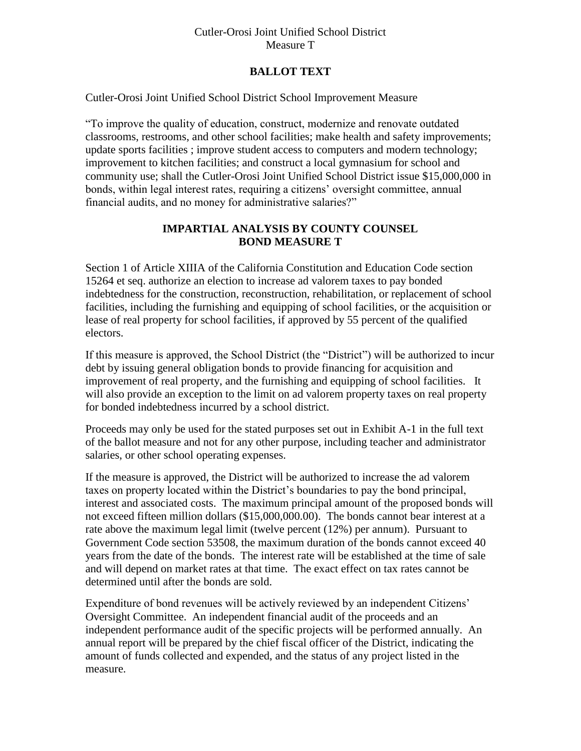### Cutler-Orosi Joint Unified School District Measure T

# **BALLOT TEXT**

Cutler-Orosi Joint Unified School District School Improvement Measure

"To improve the quality of education, construct, modernize and renovate outdated classrooms, restrooms, and other school facilities; make health and safety improvements; update sports facilities ; improve student access to computers and modern technology; improvement to kitchen facilities; and construct a local gymnasium for school and community use; shall the Cutler-Orosi Joint Unified School District issue \$15,000,000 in bonds, within legal interest rates, requiring a citizens' oversight committee, annual financial audits, and no money for administrative salaries?"

# **IMPARTIAL ANALYSIS BY COUNTY COUNSEL BOND MEASURE T**

Section 1 of Article XIIIA of the California Constitution and Education Code section 15264 et seq. authorize an election to increase ad valorem taxes to pay bonded indebtedness for the construction, reconstruction, rehabilitation, or replacement of school facilities, including the furnishing and equipping of school facilities, or the acquisition or lease of real property for school facilities, if approved by 55 percent of the qualified electors.

If this measure is approved, the School District (the "District") will be authorized to incur debt by issuing general obligation bonds to provide financing for acquisition and improvement of real property, and the furnishing and equipping of school facilities. It will also provide an exception to the limit on ad valorem property taxes on real property for bonded indebtedness incurred by a school district.

Proceeds may only be used for the stated purposes set out in Exhibit A-1 in the full text of the ballot measure and not for any other purpose, including teacher and administrator salaries, or other school operating expenses.

If the measure is approved, the District will be authorized to increase the ad valorem taxes on property located within the District's boundaries to pay the bond principal, interest and associated costs. The maximum principal amount of the proposed bonds will not exceed fifteen million dollars (\$15,000,000.00). The bonds cannot bear interest at a rate above the maximum legal limit (twelve percent (12%) per annum). Pursuant to Government Code section 53508, the maximum duration of the bonds cannot exceed 40 years from the date of the bonds. The interest rate will be established at the time of sale and will depend on market rates at that time. The exact effect on tax rates cannot be determined until after the bonds are sold.

Expenditure of bond revenues will be actively reviewed by an independent Citizens' Oversight Committee. An independent financial audit of the proceeds and an independent performance audit of the specific projects will be performed annually. An annual report will be prepared by the chief fiscal officer of the District, indicating the amount of funds collected and expended, and the status of any project listed in the measure.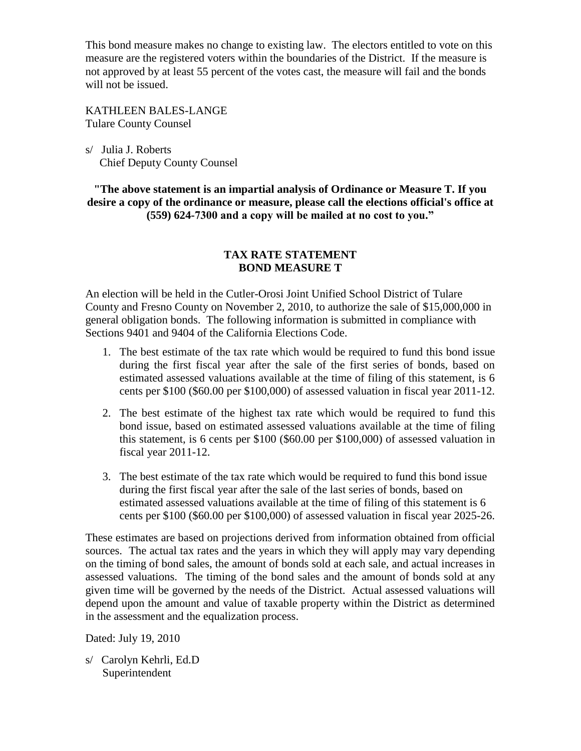This bond measure makes no change to existing law. The electors entitled to vote on this measure are the registered voters within the boundaries of the District. If the measure is not approved by at least 55 percent of the votes cast, the measure will fail and the bonds will not be issued.

KATHLEEN BALES-LANGE Tulare County Counsel

s/ Julia J. Roberts Chief Deputy County Counsel

**"The above statement is an impartial analysis of Ordinance or Measure T. If you desire a copy of the ordinance or measure, please call the elections official's office at (559) 624-7300 and a copy will be mailed at no cost to you."**

## **TAX RATE STATEMENT BOND MEASURE T**

An election will be held in the Cutler-Orosi Joint Unified School District of Tulare County and Fresno County on November 2, 2010, to authorize the sale of \$15,000,000 in general obligation bonds. The following information is submitted in compliance with Sections 9401 and 9404 of the California Elections Code.

- 1. The best estimate of the tax rate which would be required to fund this bond issue during the first fiscal year after the sale of the first series of bonds, based on estimated assessed valuations available at the time of filing of this statement, is 6 cents per \$100 (\$60.00 per \$100,000) of assessed valuation in fiscal year 2011-12.
- 2. The best estimate of the highest tax rate which would be required to fund this bond issue, based on estimated assessed valuations available at the time of filing this statement, is 6 cents per \$100 (\$60.00 per \$100,000) of assessed valuation in fiscal year 2011-12.
- 3. The best estimate of the tax rate which would be required to fund this bond issue during the first fiscal year after the sale of the last series of bonds, based on estimated assessed valuations available at the time of filing of this statement is 6 cents per \$100 (\$60.00 per \$100,000) of assessed valuation in fiscal year 2025-26.

These estimates are based on projections derived from information obtained from official sources. The actual tax rates and the years in which they will apply may vary depending on the timing of bond sales, the amount of bonds sold at each sale, and actual increases in assessed valuations. The timing of the bond sales and the amount of bonds sold at any given time will be governed by the needs of the District. Actual assessed valuations will depend upon the amount and value of taxable property within the District as determined in the assessment and the equalization process.

Dated: July 19, 2010

s/ Carolyn Kehrli, Ed.D Superintendent